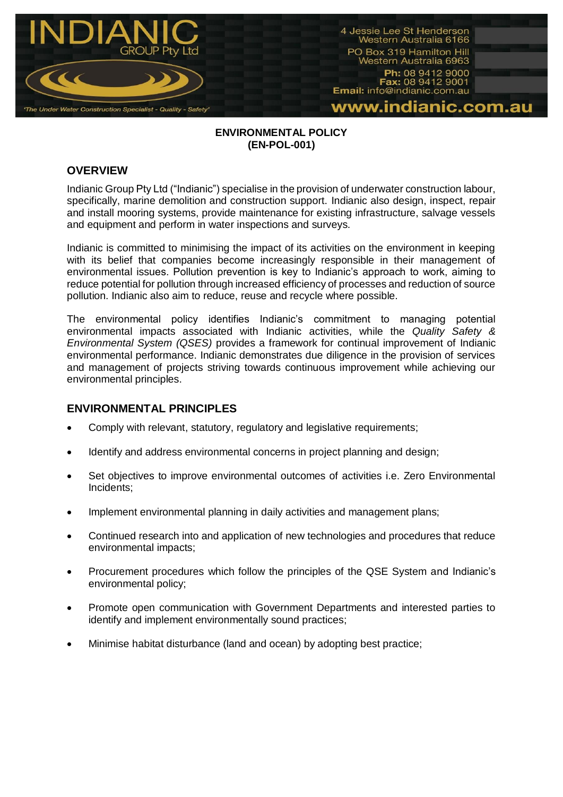

#### **ENVIRONMENTAL POLICY (EN-POL-001)**

## **OVERVIEW**

Indianic Group Pty Ltd ("Indianic") specialise in the provision of underwater construction labour, specifically, marine demolition and construction support. Indianic also design, inspect, repair and install mooring systems, provide maintenance for existing infrastructure, salvage vessels and equipment and perform in water inspections and surveys.

Indianic is committed to minimising the impact of its activities on the environment in keeping with its belief that companies become increasingly responsible in their management of environmental issues. Pollution prevention is key to Indianic's approach to work, aiming to reduce potential for pollution through increased efficiency of processes and reduction of source pollution. Indianic also aim to reduce, reuse and recycle where possible.

The environmental policy identifies Indianic's commitment to managing potential environmental impacts associated with Indianic activities, while the *Quality Safety & Environmental System (QSES)* provides a framework for continual improvement of Indianic environmental performance. Indianic demonstrates due diligence in the provision of services and management of projects striving towards continuous improvement while achieving our environmental principles.

# **ENVIRONMENTAL PRINCIPLES**

- Comply with relevant, statutory, regulatory and legislative requirements;
- Identify and address environmental concerns in project planning and design;
- Set objectives to improve environmental outcomes of activities i.e. Zero Environmental Incidents;
- Implement environmental planning in daily activities and management plans;
- Continued research into and application of new technologies and procedures that reduce environmental impacts;
- Procurement procedures which follow the principles of the QSE System and Indianic's environmental policy;
- Promote open communication with Government Departments and interested parties to identify and implement environmentally sound practices;
- Minimise habitat disturbance (land and ocean) by adopting best practice;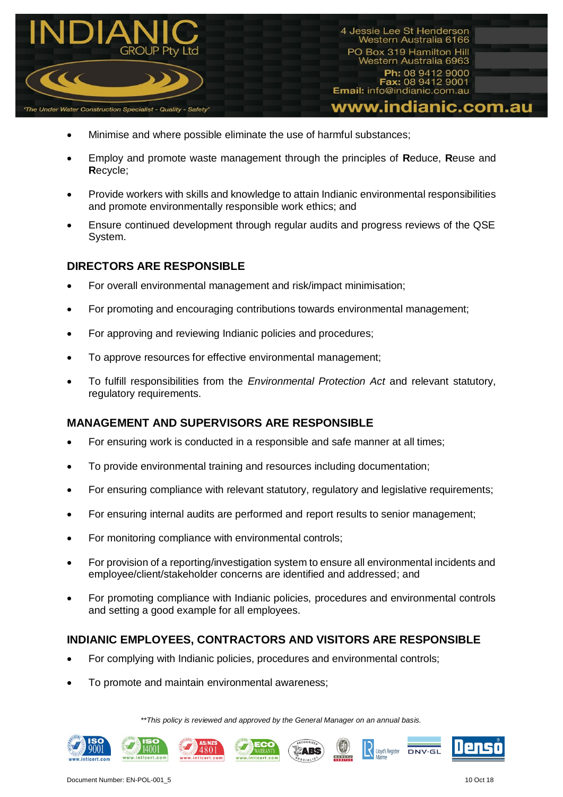

4 Jessie Lee St Henderson Western Australia 6166 PO Box 319 Hamilton Hill Western Australia 6963 Ph: 08 9412 9000 Fax: 08 9412 9001 Email: info@indianic.com.au www.indianic.com.au

- Minimise and where possible eliminate the use of harmful substances;
- Employ and promote waste management through the principles of **R**educe, **R**euse and **R**ecycle;
- Provide workers with skills and knowledge to attain Indianic environmental responsibilities and promote environmentally responsible work ethics; and
- Ensure continued development through regular audits and progress reviews of the QSE System.

## **DIRECTORS ARE RESPONSIBLE**

- For overall environmental management and risk/impact minimisation;
- For promoting and encouraging contributions towards environmental management;
- For approving and reviewing Indianic policies and procedures;
- To approve resources for effective environmental management;
- To fulfill responsibilities from the *Environmental Protection Act* and relevant statutory, regulatory requirements.

### **MANAGEMENT AND SUPERVISORS ARE RESPONSIBLE**

- For ensuring work is conducted in a responsible and safe manner at all times;
- To provide environmental training and resources including documentation;
- For ensuring compliance with relevant statutory, regulatory and legislative requirements;
- For ensuring internal audits are performed and report results to senior management;
- For monitoring compliance with environmental controls;
- For provision of a reporting/investigation system to ensure all environmental incidents and employee/client/stakeholder concerns are identified and addressed; and
- For promoting compliance with Indianic policies, procedures and environmental controls and setting a good example for all employees.

### **INDIANIC EMPLOYEES, CONTRACTORS AND VISITORS ARE RESPONSIBLE**

- For complying with Indianic policies, procedures and environmental controls;
- To promote and maintain environmental awareness;

*\*\*This policy is reviewed and approved by the General Manager on an annual basis.*